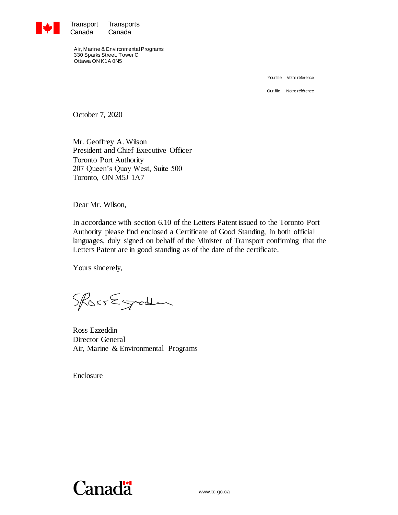

Transport Transports<br>Canada Canada Canada

Air, Marine & Environmental Programs 330 Sparks Street, Tower C Ottawa ON K1A 0N5

Your file Votre référence

Our file Notre référence

October 7, 2020

Mr. Geoffrey A. Wilson President and Chief Executive Officer Toronto Port Authority 207 Queen's Quay West, Suite 500 Toronto, ON M5J 1A7

Dear Mr. Wilson,

In accordance with section 6.10 of the Letters Patent issued to the Toronto Port Authority please find enclosed a Certificate of Good Standing, in both official languages, duly signed on behalf of the Minister of Transport confirming that the Letters Patent are in good standing as of the date of the certificate.

Yours sincerely,

SROSSEGrader

Ross Ezzeddin Director General Air, Marine & Environmental Programs

Enclosure